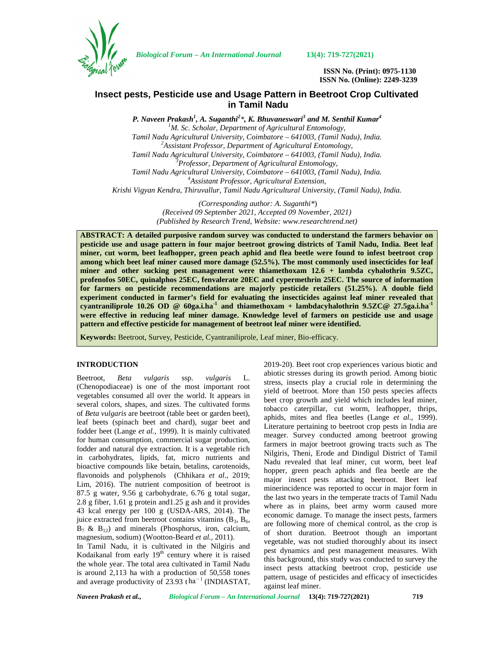

*Biological Forum – An International Journal* **13(4): 719-727(2021)**

**ISSN No. (Print): 0975-1130 ISSN No. (Online): 2249-3239**

# **Insect pests, Pesticide use and Usage Pattern in Beetroot Crop Cultivated in Tamil Nadu**

*P. Naveen Prakash<sup>1</sup> , A. Suganthi<sup>2</sup>\*, K. Bhuvaneswari<sup>3</sup> and M. Senthil Kumar<sup>4</sup>*

*<sup>1</sup>M. Sc. Scholar, Department of Agricultural Entomology, Tamil Nadu Agricultural University, Coimbatore – 641003, (Tamil Nadu), India. <sup>2</sup>Assistant Professor, Department of Agricultural Entomology, Tamil Nadu Agricultural University, Coimbatore – 641003, (Tamil Nadu), India. <sup>3</sup>Professor, Department of Agricultural Entomology, Tamil Nadu Agricultural University, Coimbatore – 641003, (Tamil Nadu), India. <sup>4</sup>Assistant Professor, Agricultural Extension, Krishi Vigyan Kendra, Thiruvallur, Tamil Nadu Agricultural University, (Tamil Nadu), India.*

> *(Corresponding author: A. Suganthi\**) *(Received 09 September 2021, Accepted 09 November, 2021) (Published by Research Trend, Website: [www.researchtrend.net\)](www.researchtrend.net)*

**ABSTRACT: A detailed purposive random survey was conducted to understand the farmers behavior on pesticide use and usage pattern in four major beetroot growing districts of Tamil Nadu, India. Beet leaf miner, cut worm, beet leafhopper, green peach aphid and flea beetle were found to infest beetroot crop among which beet leaf miner caused more damage (52.5%). The most commonly used insecticides for leaf miner and other sucking pest management were thiamethoxam 12.6 + lambda cyhalothrin 9.5ZC, profenofos 50EC, quinalphos 25EC, fenvalerate 20EC and cypermethrin 25EC. The source of information for farmers on pesticide recommendations are majorly pesticide retailers (51.25%). A double field experiment conducted in farmer's field for evaluating the insecticides against leaf miner revealed that cyantraniliprole 10.26 OD @ 60ga.i.ha-1 and thiamethoxam + lambdacyhalothrin 9.5ZC@ 27.5ga.i.ha-1 were effective in reducing leaf miner damage. Knowledge level of farmers on pesticide use and usage pattern and effective pesticide for management of beetroot leaf miner were identified.**

**Keywords:** Beetroot, Survey, Pesticide, Cyantraniliprole, Leaf miner, Bio-efficacy.

### **INTRODUCTION**

Beetroot, *Beta vulgaris* ssp. *vulgaris* L. (Chenopodiaceae) is one of the most important root vegetables consumed all over the world. It appears in several colors, shapes, and sizes. The cultivated forms of *Beta vulgaris* are beetroot (table beet or garden beet), leaf beets (spinach beet and chard), sugar beet and fodder beet (Lange *et al.,* 1999). It is mainly cultivated for human consumption, commercial sugar production, fodder and natural dye extraction. It is a vegetable rich in carbohydrates, lipids, fat, micro nutrients and bioactive compounds like betain, betalins, carotenoids, flavonoids and polyphenols (Chhikara *et al*., 2019; Lim, 2016). The nutrient composition of beetroot is 87.5 g water, 9.56 g carbohydrate, 6.76 g total sugar, 2.8 g fiber, 1.61 g protein and1.25 g ash and it provides 43 kcal energy per 100 g (USDA-ARS, 2014). The juice extracted from beetroot contains vitamins  $(B_3, B_6,$  $B_7$  &  $B_{12}$ ) and minerals (Phosphorus, iron, calcium, magnesium, sodium) (Wootton-Beard *et al.,* 2011).

In Tamil Nadu, it is cultivated in the Nilgiris and Kodaikanal from early  $19<sup>th</sup>$  century where it is raised the whole year. The total area cultivated in Tamil Nadu is around 2,113 ha with a production of 50,558 tones and average productivity of 23.93 t ha− 1 (INDIASTAT, 2019-20). Beet root crop experiences various biotic and abiotic stresses during its growth period. Among biotic stress, insects play a crucial role in determining the yield of beetroot. More than 150 pests species affects beet crop growth and yield which includes leaf miner, tobacco caterpillar, cut worm, leafhopper, thrips, aphids, mites and flea beetles (Lange *et al*., 1999). Literature pertaining to beetroot crop pests in India are meager. Survey conducted among beetroot growing farmers in major beetroot growing tracts such as The Nilgiris, Theni, Erode and Dindigul District of Tamil Nadu revealed that leaf miner, cut worm, beet leaf hopper, green peach aphids and flea beetle are the major insect pests attacking beetroot. Beet leaf minerincidence was reported to occur in major form in the last two years in the temperate tracts of Tamil Nadu where as in plains, beet army worm caused more economic damage. To manage the insect pests, farmers are following more of chemical control, as the crop is of short duration. Beetroot though an important vegetable, was not studied thoroughly about its insect pest dynamics and pest management measures. With this background, this study was conducted to survey the insect pests attacking beetroot crop, pesticide use pattern, usage of pesticides and efficacy of insecticides against leaf miner.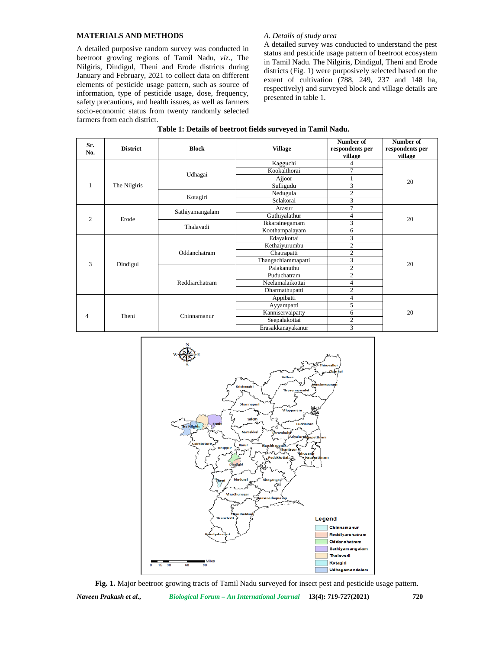## **MATERIALS AND METHODS**

A detailed purposive random survey was conducted in beetroot growing regions of Tamil Nadu, *viz.,* The Nilgiris, Dindigul, Theni and Erode districts during January and February, 2021 to collect data on different elements of pesticide usage pattern, such as source of information, type of pesticide usage, dose, frequency, safety precautions, and health issues, as well as farmers socio-economic status from twenty randomly selected farmers from each district.

# *A. Details of study area*

A detailed survey was conducted to understand the pest status and pesticide usage pattern of beetroot ecosystem in Tamil Nadu. The Nilgiris, Dindigul, Theni and Erode districts (Fig. 1) were purposively selected based on the extent of cultivation (788, 249, 237 and 148 ha, respectively) and surveyed block and village details are presented in table 1.

| Sr.<br>No.     | <b>Block</b><br><b>District</b> |                 | <b>Village</b>     | Number of<br>respondents per<br>village | Number of<br>respondents per<br>village |
|----------------|---------------------------------|-----------------|--------------------|-----------------------------------------|-----------------------------------------|
|                |                                 |                 | Kagguchi           | 4                                       |                                         |
|                |                                 | Udhagai         | Kookalthorai       | $\tau$                                  |                                         |
|                |                                 |                 | Ajjoor             |                                         | 20                                      |
| 1              | The Nilgiris                    |                 | Sulligudu          | 3                                       |                                         |
|                |                                 | Kotagiri        | Nedugula           | $\overline{2}$                          |                                         |
|                |                                 |                 | Selakorai          | 3                                       |                                         |
|                |                                 | Sathiyamangalam | Arasur             | 7                                       |                                         |
| $\overline{2}$ | Erode                           |                 | Guthiyalathur      | $\overline{4}$                          | 20                                      |
|                |                                 | Thalavadi       | Ikkarainegamam     | 3                                       |                                         |
|                |                                 |                 | Koothampalayam     | 6                                       |                                         |
|                |                                 |                 | Edayakottai        | 3                                       |                                         |
|                |                                 |                 | Kethaiyurumbu      | $\overline{2}$                          |                                         |
|                |                                 | Oddanchatram    | Chatrapatti        | $\overline{2}$                          |                                         |
| 3              |                                 |                 | Thangachiammapatti | 3                                       | 20                                      |
|                | Dindigul                        |                 | Palakanuthu        | $\overline{c}$                          |                                         |
|                |                                 |                 | Puduchatram        | $\overline{2}$                          |                                         |
|                |                                 | Reddiarchatram  | Neelamalaikottai   | $\overline{4}$                          |                                         |
|                |                                 |                 | Dharmathupatti     | $\overline{2}$                          |                                         |
|                |                                 |                 | Appibatti          | $\overline{4}$                          |                                         |
|                |                                 |                 | Ayyampatti         | 5                                       |                                         |
| 4              | Theni                           | Chinnamanur     | Kanniservaipatty   | 6                                       | 20                                      |
|                |                                 |                 | Seepalakottai      | $\overline{2}$                          |                                         |
|                |                                 |                 | Erasakkanayakanur  | 3                                       |                                         |



*Naveen Prakash et al., Biological Forum – An International Journal* **13(4): 719-727(2021) 720 Fig. 1.** Major beetroot growing tracts of Tamil Nadu surveyed for insect pest and pesticide usage pattern.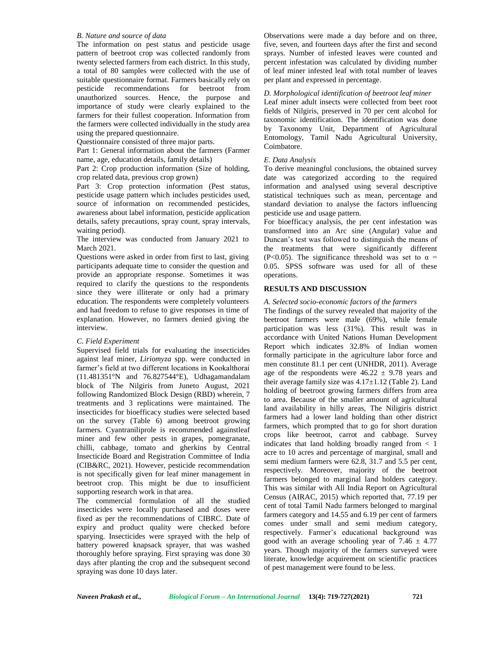#### *B. Nature and source of data*

The information on pest status and pesticide usage pattern of beetroot crop was collected randomly from twenty selected farmers from each district. In this study, a total of 80 samples were collected with the use of suitable questionnaire format. Farmers basically rely on pesticide recommendations for beetroot from unauthorized sources. Hence, the purpose and importance of study were clearly explained to the farmers for their fullest cooperation. Information from the farmers were collected individually in the study area using the prepared questionnaire.

Questionnaire consisted of three major parts.

Part 1: General information about the farmers (Farmer name, age, education details, family details)

Part 2: Crop production information (Size of holding, crop related data, previous crop grown)

Part 3: Crop protection information (Pest status, pesticide usage pattern which includes pesticides used, source of information on recommended pesticides, awareness about label information, pesticide application details, safety precautions, spray count, spray intervals, waiting period).

The interview was conducted from January 2021 to March 2021.

Questions were asked in order from first to last, giving participants adequate time to consider the question and provide an appropriate response. Sometimes it was required to clarify the questions to the respondents since they were illiterate or only had a primary education. The respondents were completely volunteers and had freedom to refuse to give responses in time of explanation. However, no farmers denied giving the interview.

## *C. Field Experiment*

Supervised field trials for evaluating the insecticides against leaf miner, *Liriomyza* spp. were conducted in farmer's field at two different locations in Kookalthorai (11.481351°N and 76.827544°E), Udhagamandalam block of The Nilgiris from Juneto August, 2021 following Randomized Block Design (RBD) wherein, 7 treatments and 3 replications were maintained. The insecticides for bioefficacy studies were selected based on the survey (Table 6) among beetroot growing farmers. Cyantraniliprole is recommended againstleaf miner and few other pests in grapes, pomegranate, chilli, cabbage, tomato and gherkins by Central Insecticide Board and Registration Committee of India (CIB&RC, 2021). However, pesticide recommendation is not specifically given for leaf miner management in beetroot crop. This might be due to insufficient supporting research work in that area.

The commercial formulation of all the studied insecticides were locally purchased and doses were fixed as per the recommendations of CIBRC. Date of expiry and product quality were checked before sparying. Insecticides were sprayed with the help of battery powered knapsack sprayer, that was washed thoroughly before spraying. First spraying was done 30 days after planting the crop and the subsequent second spraying was done 10 days later.

Observations were made a day before and on three, five, seven, and fourteen days after the first and second sprays. Number of infested leaves were counted and percent infestation was calculated by dividing number of leaf miner infested leaf with total number of leaves per plant and expressed in percentage.

### *D. Morphological identification of beetroot leaf miner* Leaf miner adult insects were collected from beet root fields of Nilgiris, preserved in 70 per cent alcohol for taxonomic identification. The identification was done by Taxonomy Unit, Department of Agricultural

Entomology, Tamil Nadu Agricultural University, Coimbatore.

#### *E. Data Analysis*

To derive meaningful conclusions, the obtained survey date was categorized according to the required information and analysed using several descriptive statistical techniques such as mean, percentage and standard deviation to analyse the factors influencing pesticide use and usage pattern.

For bioefficacy analysis, the per cent infestation was transformed into an Arc sine (Angular) value and Duncan's test was followed to distinguish the means of the treatments that were significantly different (P<0.05). The significance threshold was set to  $\alpha$  = 0.05. SPSS software was used for all of these operations.

# **RESULTS AND DISCUSSION**

### *A. Selected socio-economic factors of the farmers*

The findings of the survey revealed that majority of the beetroot farmers were male (69%), while female participation was less (31%). This result was in accordance with United Nations Human Development Report which indicates 32.8% of Indian women formally participate in the agriculture labor force and men constitute 81.1 per cent (UNHDR, 2011). Average age of the respondents were  $46.22 \pm 9.78$  years and their average family size was  $4.17 \pm 1.12$  (Table 2). Land holding of beetroot growing farmers differs from area to area. Because of the smaller amount of agricultural land availability in hilly areas, The Niligiris district farmers had a lower land holding than other district farmers, which prompted that to go for short duration crops like beetroot, carrot and cabbage. Survey indicates that land holding broadly ranged from < 1 acre to 10 acres and percentage of marginal, small and semi medium farmers were 62.8, 31.7 and 5.5 per cent, respectively. Moreover, majority of the beetroot farmers belonged to marginal land holders category. This was similar with All India Report on Agricultural Census (AIRAC, 2015) which reported that, 77.19 per cent of total Tamil Nadu farmers belonged to marginal farmers category and 14.55 and 6.19 per cent of farmers comes under small and semi medium category, respectively. Farmer's educational background was good with an average schooling year of 7.46  $\pm$  4.77 years. Though majority of the farmers surveyed were literate, knowledge acquirement on scientific practices of pest management were found to be less.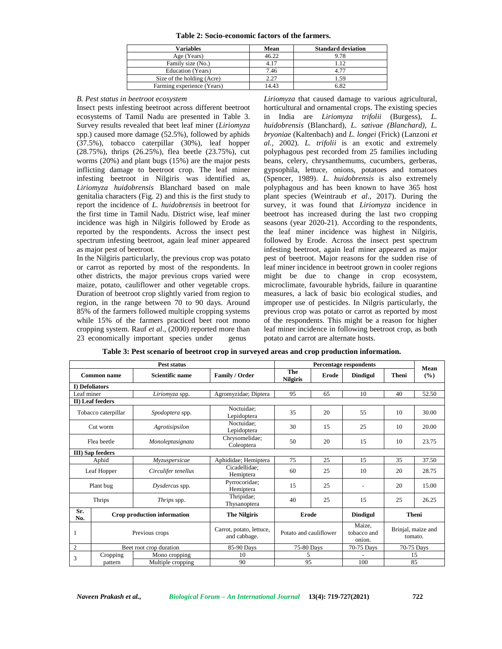| Table 2: Socio-economic factors of the farmers. |  |  |
|-------------------------------------------------|--|--|
|-------------------------------------------------|--|--|

| <b>Variables</b>           | Mean  | <b>Standard deviation</b> |
|----------------------------|-------|---------------------------|
| Age (Years)                | 46.22 | 9.78                      |
| Family size (No.)          | 4.17  |                           |
| Education (Years)          | 7.46  | 4 77                      |
| Size of the holding (Acre) | 2.27  | 1.59                      |
| Farming experience (Years) | 14.43 | 6.82                      |

#### *B. Pest status in beetroot ecosystem*

Insect pests infesting beetroot across different beetroot ecosystems of Tamil Nadu are presented in Table 3. Survey results revealed that beet leaf miner (*Liriomyza* spp.) caused more damage (52.5%), followed by aphids (37.5%), tobacco caterpillar (30%), leaf hopper (28.75%), thrips (26.25%), flea beetle (23.75%), cut worms (20%) and plant bugs (15%) are the major pests inflicting damage to beetroot crop. The leaf miner infesting beetroot in Nilgiris was identified as, *Liriomyza huidobrensis* Blanchard based on male genitalia characters (Fig. 2) and this is the first study to report the incidence of *L. huidobrensis* in beetroot for the first time in Tamil Nadu. District wise, leaf miner incidence was high in Nilgiris followed by Erode as reported by the respondents. Across the insect pest spectrum infesting beetroot, again leaf miner appeared as major pest of beetroot.

In the Nilgiris particularly, the previous crop was potato or carrot as reported by most of the respondents. In other districts, the major previous crops varied were maize, potato, cauliflower and other vegetable crops. Duration of beetroot crop slightly varied from region to region, in the range between 70 to 90 days. Around 85% of the farmers followed multiple cropping systems while 15% of the farmers practiced beet root mono cropping system. Rauf *et al.*, (2000) reported more than 23 economically important species under genus 23 economically important species under

*Liriomyza* that caused damage to various agricultural, horticultural and ornamental crops. The existing species in India are *Liriomyza trifolii* (Burgess), *L. huidobrensis* (Blanchard), *L. sativae (Blanchard)*, *L. bryoniae* (Kaltenbach) and *L. longei* (Frick) (Lanzoni *et al.,* 2002). *L. trifolii* is an exotic and extremely polyphagous pest recorded from 25 families including beans, celery, chrysanthemums, cucumbers, gerberas, gypsophila, lettuce, onions, potatoes and tomatoes (Spencer, 1989). *L. huidobrensis* is also extremely polyphagous and has been known to have 365 host plant species (Weintraub *et al*., 2017). During the survey, it was found that *Liriomyza* incidence in beetroot has increased during the last two cropping seasons (year 2020-21). According to the respondents, the leaf miner incidence was highest in Nilgiris, followed by Erode. Across the insect pest spectrum infesting beetroot, again leaf miner appeared as major pest of beetroot. Major reasons for the sudden rise of leaf miner incidence in beetroot grown in cooler regions might be due to change in crop ecosystem, microclimate, favourable hybrids, failure in quarantine measures, a lack of basic bio ecological studies, and improper use of pesticides. In Nilgris particularly, the previous crop was potato or carrot as reported by most of the respondents. This might be a reason for higher leaf miner incidence in following beetroot crop, as both potato and carrot are alternate hosts.

|                       |                                              | Pest status                 |                                          | Mean                            |                        |                 |              |                               |  |
|-----------------------|----------------------------------------------|-----------------------------|------------------------------------------|---------------------------------|------------------------|-----------------|--------------|-------------------------------|--|
|                       | <b>Scientific name</b><br><b>Common name</b> |                             | Family / Order                           | The<br>Erode<br><b>Nilgiris</b> |                        | <b>Dindigul</b> | <b>Theni</b> | (%)                           |  |
| <b>I)</b> Defoliators |                                              |                             |                                          |                                 |                        |                 |              |                               |  |
|                       | Leaf miner<br>Liriomyza spp.                 |                             | Agromyzidae; Diptera                     | 95                              | 65                     | 10              | 40           | 52.50                         |  |
|                       | II) Leaf feeders                             |                             |                                          |                                 |                        |                 |              |                               |  |
|                       | Tobacco caterpillar                          | Spodoptera spp.             | Noctuidae;<br>Lepidoptera                | 35                              | 20                     | 55              | 10           | 30.00                         |  |
|                       | Agrotisipsilon<br>Cut worm                   |                             | Noctuidae;<br>Lepidoptera                | 30                              | 15                     | 25              | 10           | 20.00                         |  |
|                       | Flea beetle<br>Monoleptasignata              |                             | Chrysomelidae;<br>Coleoptera             | 50                              | 20                     | 15              | 10           | 23.75                         |  |
|                       | <b>III</b> ) Sap feeders                     |                             |                                          |                                 |                        |                 |              |                               |  |
|                       | Aphid                                        | Myzuspersicae               | Aphididae; Hemiptera                     | 75                              | 25                     | 15              | 35           | 37.50                         |  |
| Leaf Hopper           |                                              | Circulifer tenellus         | Cicadellidae;<br>Hemiptera               | 60<br>25                        |                        | 10              | 20           | 28.75                         |  |
|                       | Plant bug                                    | Dysdercus spp.              | Pyrrocoridae;<br>Hemiptera               | 15                              | 25                     | $\blacksquare$  | 20           | 15.00                         |  |
|                       | Thrips                                       | Thrips spp.                 | Thripidae;<br>Thysanoptera               | 40                              | 25                     | 15              | 25           | 26.25                         |  |
| Sr.<br>No.            |                                              | Crop production information | <b>The Nilgiris</b>                      | Erode                           |                        | <b>Dindigul</b> |              | <b>Theni</b>                  |  |
| 1                     | Previous crops                               |                             | Carrot, potato, lettuce,<br>and cabbage. |                                 | Potato and cauliflower |                 |              | Brinjal, maize and<br>tomato. |  |
| $\mathfrak{2}$        |                                              | Beet root crop duration     | 85-90 Days                               | 75-80 Days                      |                        | 70-75 Days      |              | 70-75 Days                    |  |
|                       | Cropping                                     | Mono cropping               | 10                                       | 5                               |                        |                 |              | 15                            |  |
| 3<br>pattern          |                                              | Multiple cropping           | 90                                       | 95                              |                        | 100             | 85           |                               |  |

| Table 3: Pest scenario of beetroot crop in surveyed areas and crop production information. |  |
|--------------------------------------------------------------------------------------------|--|
|                                                                                            |  |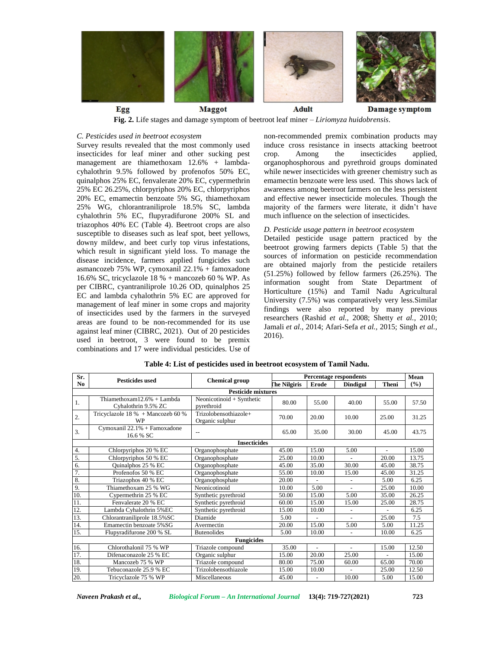

**Fig. 2.** Life stages and damage symptom of beetroot leaf miner – *Liriomyza huidobrensis*.

### *C. Pesticides used in beetroot ecosystem*

Survey results revealed that the most commonly used insecticides for leaf miner and other sucking pest management are thiamethoxam 12.6% + lambda cyhalothrin 9.5% followed by profenofos 50% EC, quinalphos 25% EC, fenvalerate 20% EC, cypermethrin 25% EC 26.25%, chlorpyriphos 20% EC, chlorpyriphos 20% EC, emamectin benzoate 5% SG, thiamethoxam 25% WG, chlorantraniliprole 18.5% SC, lambda cyhalothrin 5% EC, flupyradifurone 200% SL and triazophos 40% EC (Table 4). Beetroot crops are also susceptible to diseases such as leaf spot, beet yellows, downy mildew, and beet curly top virus infestations, which result in significant yield loss. To manage the disease incidence, farmers applied fungicides such asmancozeb 75% WP, cymoxanil 22.1% + famoxadone 16.6% SC, tricyclazole 18 % + mancozeb 60 % WP. As per CIBRC, cyantraniliprole 10.26 OD, quinalphos 25 EC and lambda cyhalothrin 5% EC are approved for management of leaf miner in some crops and majority of insecticides used by the farmers in the surveyed areas are found to be non-recommended for its use against leaf miner (CIBRC, 2021). Out of 20 pesticides used in beetroot, 3 were found to be premix combinations and 17 were individual pesticides. Use of

non-recommended premix combination products may induce cross resistance in insects attacking beetroot Among the insecticides applied, organophosphorous and pyrethroid groups dominated while newer insecticides with greener chemistry such as emamectin benzoate were less used. This shows lack of awareness among beetroot farmers on the less persistent and effective newer insecticide molecules. Though the majority of the farmers were literate, it didn't have much influence on the selection of insecticides.

# *D. Pesticide usage pattern in beetroot ecosystem*

Detailed pesticide usage pattern practiced by the beetroot growing farmers depicts (Table 5) that the sources of information on pesticide recommendation are obtained majorly from the pesticide retailers (51.25%) followed by fellow farmers (26.25%). The information sought from State Department of Horticulture (15%) and Tamil Nadu Agricultural University (7.5%) was comparatively very less.Similar findings were also reported by many previous researchers (Rashid *et al.,* 2008; Shetty *et al.,* 2010; Jamali *et al.,* 2014; Afari-Sefa *et al.,* 2015; Singh *et al.*, 2016).

| Sr.              | <b>Pesticides used</b>                               | <b>Chemical group</b>                    | <b>Percentage respondents</b> | Mean  |                                 |                |       |
|------------------|------------------------------------------------------|------------------------------------------|-------------------------------|-------|---------------------------------|----------------|-------|
| No               |                                                      |                                          | The Nilgiris<br>Erode         |       | <b>Theni</b><br><b>Dindigul</b> |                | (%)   |
|                  |                                                      | <b>Pesticide mixtures</b>                |                               |       |                                 |                |       |
| 1.               | Thiamethoxam $12.6% +$ Lambda<br>Cyhalothrin 9.5% ZC | Neonicotinoid + Synthetic<br>pyrethroid  | 80.00                         | 55.00 | 40.00                           | 55.00          | 57.50 |
| 2.               | Tricyclazole $18\%$ + Mancozeb 60 %<br><b>WP</b>     | Trizolobensothiazole+<br>Organic sulphur | 70.00                         | 20.00 | 10.00                           | 25.00          | 31.25 |
| 3.               | Cymoxanil 22.1% + Famoxadone<br>16.6 % SC            | $-$                                      | 65.00                         | 35.00 | 30.00                           | 45.00          | 43.75 |
|                  |                                                      | <b>Insecticides</b>                      |                               |       |                                 |                |       |
| 4.               | Chlorpyriphos 20 % EC                                | Organophosphate                          | 45.00                         | 15.00 | 5.00                            | $\overline{a}$ | 15.00 |
| 5.               | Chlorpyriphos 50 % EC                                | Organophosphate                          | 25.00                         | 10.00 |                                 | 20.00          | 13.75 |
| 6.               | Quinalphos 25 % EC                                   | Organophosphate                          | 45.00                         | 35.00 | 30.00                           | 45.00          | 38.75 |
| $\overline{7}$ . | Profenofos 50 % EC                                   | Organophosphate                          | 55.00                         | 10.00 | 15.00                           | 45.00          | 31.25 |
| 8.               | Triazophos 40 % EC                                   | Organophosphate                          | 20.00                         |       | $\overline{\phantom{a}}$        | 5.00           | 6.25  |
| 9.               | Thiamethoxam 25 % WG                                 | Neonicotinoid                            | 10.00                         | 5.00  |                                 | 25.00          | 10.00 |
| 10.              | Cypermethrin 25 % EC                                 | Synthetic pyrethroid                     | 50.00                         | 15.00 | 5.00                            | 35.00          | 26.25 |
| 11.              | Fenvalerate 20 % EC                                  | Synthetic pyrethroid                     | 60.00                         | 15.00 | 15.00                           | 25.00          | 28.75 |
| 12.              | Lambda Cyhalothrin 5%EC                              | Synthetic pyrethroid                     | 15.00                         | 10.00 |                                 |                | 6.25  |
| 13.              | Chlorantraniliprole 18.5%SC                          | Diamide                                  | 5.00                          |       |                                 | 25.00          | 7.5   |
| 14.              | Emamectin benzoate 5%SG                              | Avermectin                               | 20.00                         | 15.00 | 5.00                            | 5.00           | 11.25 |
| 15.              | Flupyradifurone 200 % SL                             | <b>Butenolides</b>                       | 5.00                          | 10.00 | $\sim$                          | 10.00          | 6.25  |
|                  |                                                      | <b>Fungicides</b>                        |                               |       |                                 |                |       |
| 16.              | Chlorothalonil 75 % WP                               | Triazole compound                        | 35.00                         |       | $\overline{a}$                  | 15.00          | 12.50 |
| 17.              | Difenaconazole 25 % EC                               | Organic sulphur                          | 15.00                         | 20.00 | 25.00                           |                | 15.00 |
| 18.              | Mancozeb 75 % WP                                     | Triazole compound                        | 80.00                         | 75.00 | 60.00                           | 65.00          | 70.00 |
| 19.              | Tebuconazole 25.9 % EC                               | Trizolobensothiazole                     | 15.00                         | 10.00 |                                 | 25.00          | 12.50 |
| 20.              | Tricyclazole 75 % WP                                 | Miscellaneous                            | 45.00                         |       | 10.00                           | 5.00           | 15.00 |

#### **Table 4: List of pesticides used in beetroot ecosystem of Tamil Nadu.**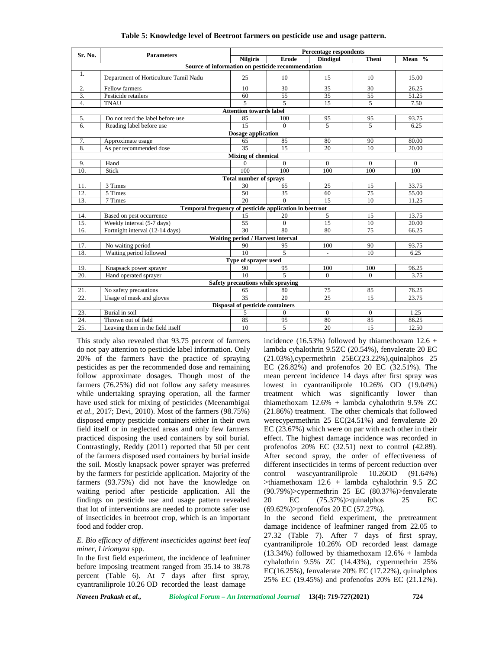|                           |                                                         | <b>Percentage respondents</b>     |                         |                          |                 |          |  |  |  |  |
|---------------------------|---------------------------------------------------------|-----------------------------------|-------------------------|--------------------------|-----------------|----------|--|--|--|--|
| Sr. No.                   | <b>Parameters</b>                                       |                                   | Erode                   | <b>Dindigul</b>          | <b>Theni</b>    | Mean $%$ |  |  |  |  |
|                           | Source of information on pesticide recommendation       |                                   |                         |                          |                 |          |  |  |  |  |
| 1.                        | Department of Horticulture Tamil Nadu                   | 25                                | 10                      | 15                       | 10              | 15.00    |  |  |  |  |
| 2.                        | Fellow farmers                                          | 10                                | 30                      | 35                       | 30              | 26.25    |  |  |  |  |
| 3.                        | Pesticide retailers                                     | 60                                | $\overline{55}$         | $\overline{35}$          | 55              | 51.25    |  |  |  |  |
| 4.                        | <b>TNAU</b>                                             |                                   | 5                       | 15                       | 5               | 7.50     |  |  |  |  |
|                           |                                                         | <b>Attention towards label</b>    |                         |                          |                 |          |  |  |  |  |
| 5.                        | Do not read the label before use                        | 85                                | 100                     | 95                       | $\overline{95}$ | 93.75    |  |  |  |  |
| 6.                        | Reading label before use                                | $\overline{15}$                   | $\Omega$                | $\overline{5}$           | $\overline{5}$  | 6.25     |  |  |  |  |
|                           |                                                         | <b>Dosage application</b>         |                         |                          |                 |          |  |  |  |  |
| 7.                        | Approximate usage                                       | 65                                | 85                      | 80                       | 90              | 80.00    |  |  |  |  |
| 8.                        | As per recommended dose                                 | $\overline{35}$                   | $\overline{15}$         | 20                       | 10              | 20.00    |  |  |  |  |
| <b>Mixing of chemical</b> |                                                         |                                   |                         |                          |                 |          |  |  |  |  |
| 9.                        | Hand                                                    | 0                                 | $\Omega$                | $\Omega$                 | $\Omega$        | $\Omega$ |  |  |  |  |
| 10.                       | Stick                                                   | 100                               | 100                     | 100                      | 100             | 100      |  |  |  |  |
|                           |                                                         | <b>Total number of sprays</b>     |                         |                          |                 |          |  |  |  |  |
| 11.                       | 3 Times                                                 | 30                                | 65                      | 25                       | 15              | 33.75    |  |  |  |  |
| 12.                       | 5 Times                                                 | $50^{\circ}$                      | $\overline{35}$         | 60                       | $\overline{75}$ | 55.00    |  |  |  |  |
| 13.                       | 7 Times                                                 | 20                                | $\Omega$                | 15                       | 10              | 11.25    |  |  |  |  |
|                           | Temporal frequency of pesticide application in beetroot |                                   |                         |                          |                 |          |  |  |  |  |
| 14.                       | Based on pest occurrence                                | 15                                | 20                      | 5                        | 15              | 13.75    |  |  |  |  |
| 15.                       | Weekly interval (5-7 days)                              | 55                                | $\Omega$                | 15                       | 10              | 20.00    |  |  |  |  |
| 16.                       | Fortnight interval (12-14 days)                         | 30                                | 80                      | 80                       | 75              | 66.25    |  |  |  |  |
|                           |                                                         | Waiting period / Harvest interval |                         |                          |                 |          |  |  |  |  |
| 17.                       | No waiting period                                       | 90                                | 95                      | 100                      | 90              | 93.75    |  |  |  |  |
| 18.                       | Waiting period followed                                 | 10                                | $\overline{5}$          | $\overline{\phantom{a}}$ | 10              | 6.25     |  |  |  |  |
|                           |                                                         | Type of sprayer used              |                         |                          |                 |          |  |  |  |  |
| 19.                       | Knapsack power sprayer                                  | 90                                | 95                      | 100                      | 100             | 96.25    |  |  |  |  |
| 20.                       | Hand operated sprayer                                   | 10 <sup>10</sup>                  | $\overline{\mathbf{5}}$ | $\Omega$                 | $\overline{0}$  | 3.75     |  |  |  |  |
|                           |                                                         | Safety precautions while spraying |                         |                          |                 |          |  |  |  |  |
| 21.                       | No safety precautions                                   | 65                                | 80                      | 75                       | 85              | 76.25    |  |  |  |  |
| 22.                       | Usage of mask and gloves                                | 35                                | 20                      | 25                       | 15              | 23.75    |  |  |  |  |
|                           |                                                         | Disposal of pesticide containers  |                         |                          |                 |          |  |  |  |  |
| 23.                       | Burial in soil                                          | 5                                 | $\Omega$                | $\Omega$                 | $\Omega$        | 1.25     |  |  |  |  |
| 24.                       | Thrown out of field                                     | 85                                | 95                      | 80                       | 85              | 86.25    |  |  |  |  |
| 25.                       | Leaving them in the field itself                        | 10                                | 5                       | 20                       | 15              | 12.50    |  |  |  |  |

#### **Table 5: Knowledge level of Beetroot farmers on pesticide use and usage pattern.**

This study also revealed that 93.75 percent of farmers do not pay attention to pesticide label information. Only 20% of the farmers have the practice of spraying pesticides as per the recommended dose and remaining follow approximate dosages. Though most of the farmers (76.25%) did not follow any safety measures while undertaking spraying operation, all the farmer have used stick for mixing of pesticides (Meenambigai *et al.,* 2017; Devi, 2010). Most of the farmers (98.75%) disposed empty pesticide containers either in their own field itself or in neglected areas and only few farmers practiced disposing the used containers by soil burial. Contrastingly, Reddy (2011) reported that 50 per cent of the farmers disposed used containers by burial inside the soil. Mostly knapsack power sprayer was preferred by the farmers for pesticide application. Majority of the farmers (93.75%) did not have the knowledge on waiting period after pesticide application. All the findings on pesticide use and usage pattern revealed that lot of interventions are needed to promote safer use of insecticides in beetroot crop, which is an important food and fodder crop.

### *E. Bio efficacy of different insecticides against beet leaf miner, Liriomyza* spp.

In the first field experiment, the incidence of leafminer before imposing treatment ranged from 35.14 to 38.78 percent (Table 6). At 7 days after first spray, cyantraniliprole 10.26 OD recorded the least damage

incidence (16.53%) followed by thiamethoxam  $12.6 +$ lambda cyhalothrin 9.5ZC (20.54%), fenvalerate 20 EC (21.03%),cypermethrin 25EC(23.22%),quinalphos 25 EC (26.82%) and profenofos 20 EC (32.51%). The mean percent incidence 14 days after first spray was lowest in cyantraniliprole 10.26% OD (19.04%) treatment which was significantly lower than thiamethoxam 12.6% + lambda cyhalothrin 9.5% ZC (21.86%) treatment. The other chemicals that followed werecypermethrin 25 EC(24.51%) and fenvalerate 20 EC (23.67%) which were on par with each other in their effect. The highest damage incidence was recorded in profenofos 20% EC (32.51) next to control (42.89). After second spray, the order of effectiveness of different insecticides in terms of percent reduction over wascyantraniliprole 10.26OD (91.64%)  $\Rightarrow$ thiamethoxam 12.6 + lambda cyhalothrin 9.5 ZC (90.79%)>cypermethrin 25 EC (80.37%)>fenvalerate  $EC$   $(75.37\%)$  >quinalphos 25  $EC$ (69.62%)>profenofos 20 EC (57.27%).

In the second field experiment, the pretreatment damage incidence of leafminer ranged from 22.05 to 27.32 (Table 7). After 7 days of first spray, cyantraniliprole 10.26% OD recorded least damage  $(13.34%)$  followed by thiamethoxam  $12.6%$  + lambda cyhalothrin 9.5% ZC (14.43%), cypermethrin 25% EC(16.25%), fenvalerate 20% EC (17.22%), quinalphos 25% EC (19.45%) and profenofos 20% EC (21.12%).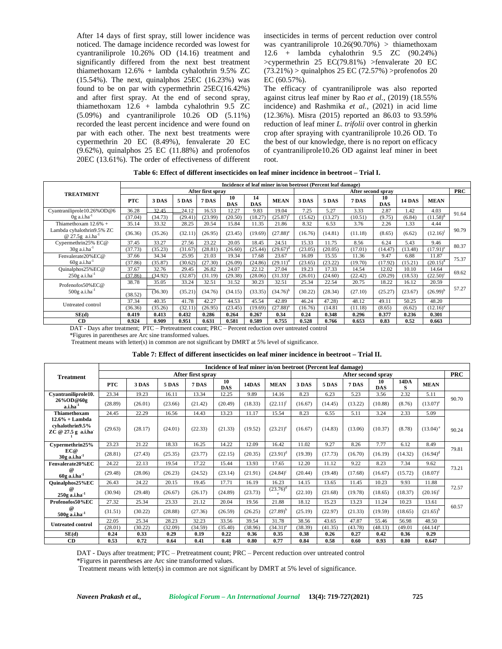After 14 days of first spray, still lower incidence was noticed. The damage incidence recorded was lowest for cyantraniliprole 10.26% OD (14.16) treatment and significantly differed from the next best treatment thiamethoxam 12.6% + lambda cyhalothrin 9.5% ZC (15.54%). The next, quinalphos 25EC (16.23%) was found to be on par with cypermethrin 25EC(16.42%) and after first spray. At the end of second spray, thiamethoxam 12.6 + lambda cyhalothrin 9.5 ZC (5.09%) and cyantraniliprole 10.26 OD (5.11%) recorded the least percent incidence and were found on par with each other. The next best treatments were cypermethrin 20 EC (8.49%), fenvalerate 20 EC  $(9.62%)$ , quinalphos 25 EC  $(11.88%)$  and profenofos 20EC (13.61%). The order of effectiveness of different insecticides in terms of percent reduction over control was cyantraniliprole  $10.26(90.70%)$  > thiamethoxam 12.6 + lambda cyhalothrin 9.5 ZC (90.24%) >cypermethrin 25 EC(79.81%) >fenvalerate 20 EC  $(73.21%) >$  quinalphos 25 EC  $(72.57%) >$ profenofos 20 EC (60.57%).

The efficacy of cyantraniliprole was also reported against citrus leaf miner by Rao *et al.,* (2019) (18.55% incidence) and Rashmika *et al.,* (2021) in acid lime (12.36%). Misra (2015) reported an 86.03 to 93.59% reduction of leaf miner *L. trifolii* over control in gherkin crop after spraying with cyantraniliprole 10.26 OD. To the best of our knowledge, there is no report on efficacy of cyantraniliprole10.26 OD against leaf miner in beet root.

| Table 6: Effect of different insecticides on leaf miner incidence in beetroot – Trial I. |  |
|------------------------------------------------------------------------------------------|--|
|------------------------------------------------------------------------------------------|--|

|                                                    | Incidence of leaf miner in/on beetroot (Percent leaf damage) |         |              |         |                  |                  |                   |         |                    |              |                  |               |               |       |
|----------------------------------------------------|--------------------------------------------------------------|---------|--------------|---------|------------------|------------------|-------------------|---------|--------------------|--------------|------------------|---------------|---------------|-------|
| <b>TREATMENT</b>                                   | After first spray                                            |         |              |         |                  |                  |                   |         | After second spray |              |                  |               |               |       |
|                                                    | <b>PTC</b>                                                   | 3 DAS   | <b>5 DAS</b> | 7 DAS   | 10<br><b>DAS</b> | 14<br><b>DAS</b> | <b>MEAN</b>       | 3 DAS   | 5 DAS              | <b>7 DAS</b> | 10<br><b>DAS</b> | <b>14 DAS</b> | <b>MEAN</b>   |       |
| Cyantraniliprole10.26%OD@6                         | 36.28                                                        | 32.45   | 24.12        | 16.53   | 12.27            | 9.83             | 19.04             | 7.25    | 5.27               | 3.33         | 2.87             | 1.42          | 4.03          | 91.64 |
| $0g$ a.i.ha $^{-1}$                                | (37.04)                                                      | (34.73) | (29.41)      | (23.99) | (20.50)          | (18.27)          | (25.87)           | (15.62) | (13.27)            | (10.51)      | (9.75)           | (6.84)        | $(11.58)^{8}$ |       |
| Thiamethoxam $12.6%$ +                             | 35.14                                                        | 33.32   | 28.25        | 20.54   | 15.84            | 11.35            | 21.86             | 8.32    | 6.53               | 3.76         | 2.26             | 1.33          | 4.44          |       |
| Lambda cyhalothrin9.5% ZC<br>@ 27.5g $a.i.ha^{-1}$ | (36.36)                                                      | (35.26) | (32.11)      | (26.95) | (23.45)          | (19.69)          | $(27.88)^e$       | (16.76) | (14.81)            | (11.18)      | (8.65)           | (6.62)        | $(12.16)^t$   | 90.79 |
| Cypermethrin25% EC@                                | 37.45                                                        | 33.27   | 27.56        | 23.22   | 20.05            | 18.45            | 24.51             | 15.33   | 11.75              | 8.56         | 6.24             | 5.43          | 9.46          | 80.37 |
| $30g$ a.i.ha $^{-1}$                               | (37.73)                                                      | (35.23) | (31.67)      | (28.81) | (26.60)          | (25.44)          | $(29.67)^d$       | (23.05) | (20.05)            | (17.01)      | (14.47)          | (13.48)       | $(17.91)^e$   |       |
| Fenvalerate20%EC@                                  | 37.66                                                        | 34.34   | 25.95        | 21.03   | 19.34            | 17.68            | 23.67             | 16.09   | 15.55              | 11.36        | 9.47             | 6.88          | 11.87         | 75.37 |
| $60g$ a.i.ha <sup>-1</sup>                         | (37.86)                                                      | (35.87) | (30.62)      | (27.30) | (26.09)          | (24.86)          | $(29.11)^d$       | (23.65) | (23.22)            | (19.70)      | (17.92)          | 15.21         | $(20.15)^d$   |       |
| Quinalphos25%EC@                                   | 37.67                                                        | 32.76   | 29.45        | 26.82   | 24.07            | 22.12            | 27.04             | 19.23   | 17.33              | 14.54        | 12.02            | 10.10         | 14.64         | 69.62 |
| $250g$ a.i.ha <sup>-1</sup>                        | (37.86)                                                      | (34.92) | (32.87)      | (31.19) | (29.38)          | (28.06)          | $(31.33)^{\circ}$ | (26.01) | (24.60)            | (22.42)      | (20.29)          | 18.53)        | $(22.50)^c$   |       |
| Profenofos50%EC@                                   | 38.78                                                        | 35.05   | 33.24        | 32.51   | 31.52            | 30.23            | 32.51             | 25.34   | 22.54              | 20.75        | 18.22            | 16.12         | 20.59         |       |
| $500g$ a.i.ha <sup>-1</sup>                        | (38.52)                                                      | (36.30) | (35.21)      | (34.76) | (34.15)          | (33.35)          | $(34.76)^{b}$     | (30.22) | (28.34)            | (27.10)      | (25.27)          | (23.67)       | $(26.99)^{b}$ | 57.27 |
| Untreated control                                  | 37.34                                                        | 40.35   | 41.78        | 42.27   | 44.53            | 45.54            | 42.89             | 46.24   | 47.28              | 48.12        | 49.11            | 50.25         | 48.20         |       |
|                                                    | (36.36)                                                      | (35.26) | (32.11)      | (26.95) | (23.45)          | (19.69)          | $(27.88)^{a}$     | (16.76) | (14.81)            | (11.18)      | (8.65)           | (6.62)        | $(12.16)^{a}$ |       |
| SE(d)                                              | 0.419                                                        | 0.413   | 0.432        | 0.286   | 0.264            | 0.267            | 0.34              | 0.24    | 0.348              | 0.296        | 0.377            | 0.236         | 0.301         |       |
| CD                                                 | 0.924                                                        | 0.909   | 0.951        | 0.631   | 0.581            | 0.589            | 0.755             | 0.528   | 0.766              | 0.653        | 0.83             | 0.52          | 0.663         |       |

DAT - Days after treatment; PTC – Pretreatment count; PRC – Percent reduction over untreated control

\*Figures in parentheses are Arc sine transformed values.

Treatment means with letter(s) in common are not significant by DMRT at 5% level of significance.

|                                                                           | Incidence of leaf miner in/on beetroot (Percent leaf damage)<br><b>PRC</b> |                   |         |         |                  |         |                   |         |         |                    |                  |           |               |       |  |
|---------------------------------------------------------------------------|----------------------------------------------------------------------------|-------------------|---------|---------|------------------|---------|-------------------|---------|---------|--------------------|------------------|-----------|---------------|-------|--|
| <b>Treatment</b>                                                          |                                                                            | After first sprav |         |         |                  |         |                   |         |         | After second sprav |                  |           |               |       |  |
|                                                                           | <b>PTC</b>                                                                 | 3 DAS             | 5 DAS   | 7 DAS   | 10<br><b>DAS</b> | 14DAS   | <b>MEAN</b>       | 3 DAS   | 5 DAS   | 7 DAS              | 10<br><b>DAS</b> | 14DA<br>S | <b>MEAN</b>   |       |  |
| Cyantraniliprole10.                                                       | 23.34                                                                      | 19.23             | 16.11   | 13.34   | 12.25            | 9.89    | 14.16             | 8.23    | 6.23    | 5.23               | 3.56             | 2.32      | 5.11          | 90.70 |  |
| 26%OD@60g<br>$a.i.ha^{-1}$                                                | (28.89)                                                                    | (26.01)           | (23.66) | (21.42) | (20.49)          | (18.33) | $(22.11)^t$       | (16.67) | (14.45) | (13.22)            | (10.88)          | (8.76)    | $(13.07)^e$   |       |  |
| Thiamethoxam                                                              | 24.45                                                                      | 22.29             | 16.56   | 14.43   | 13.23            | 11.17   | 15.54             | 8.23    | 6.55    | 5.11               | 3.24             | 2.33      | 5.09          |       |  |
| $12.6\% +$ Lambda<br>cyhalothrin9.5%<br>$ZC \n\circledcirc 27.5 g$ a.i.ha | (29.63)                                                                    | (28.17)           | (24.01) | (22.33) | (21.33)          | (19.52) | $(23.21)^e$       | (16.67) | (14.83) | (13.06)            | (10.37)          | (8.78)    | $(13.04)^e$   | 90.24 |  |
| Cypermethrin25%                                                           | 23.23                                                                      | 21.22             | 18.33   | 16.25   | 14.22            | 12.09   | 16.42             | 11.02   | 9.27    | 8.26               | 7.77             | 6.12      | 8.49          | 79.81 |  |
| EC@<br>$30g$ a.i.ha $^{-1}$                                               | (28.81)                                                                    | (27.43)           | (25.35) | (23.77) | (22.15)          | (20.35) | $(23.91)^d$       | (19.39) | (17.73) | (16.70)            | (16.19)          | (14.32)   | $(16.94)^d$   |       |  |
| Fenvalerate20%EC                                                          | 24.22                                                                      | 22.13             | 19.54   | 17.22   | 15.44            | 13.93   | 17.65             | 12.20   | 11.12   | 9.22               | 8.23             | 7.34      | 9.62          |       |  |
| $\omega$<br>$60g$ a.i.ha $^{-1}$                                          | (29.48)                                                                    | (28.06)           | (26.23) | (24.52) | (23.14)          | (21.91) | $(24.84)^c$       | (20.44) | (19.48) | (17.68)            | (16.67)          | (15.72)   | $(18.07)^c$   | 73.21 |  |
| Quinalphos25%EC                                                           | 26.43                                                                      | 24.22             | 20.15   | 19.45   | 17.71            | 16.19   | 16.23             | 14.15   | 13.65   | 11.45              | 10.23            | 9.93      | 11.88         |       |  |
| $\omega$<br>$250g$ a.i.ha $^{-1}$                                         | (30.94)                                                                    | (29.48)           | (26.67) | (26.17) | (24.89)          | (23.73) | $(23.76)^d$<br>e. | (22.10) | (21.68) | (19.78)            | (18.65)          | (18.37)   | $(20.16)^c$   | 72.57 |  |
| Profenofos50%EC                                                           | 27.32                                                                      | 25.34             | 23.33   | 21.12   | 20.04            | 19.56   | 21.88             | 18.12   | 15.23   | 13.23              | 11.24            | 10.23     | 13.61         |       |  |
| $\omega$<br>$500g$ a.i.ha $1$                                             | (31.51)                                                                    | (30.22)           | (28.88) | (27.36) | (26.59)          | (26.25) | $(27.89)^{b}$     | (25.19) | (22.97) | (21.33)            | (19.59)          | (18.65)   | $(21.65)^{b}$ | 60.57 |  |
| <b>Untreated control</b>                                                  | 22.05                                                                      | 25.34             | 28.23   | 32.23   | 33.56            | 39.54   | 31.78             | 38.56   | 43.65   | 47.87              | 55.46            | 56.98     | 48.50         |       |  |
|                                                                           | (28.01)                                                                    | (30.22)           | (32.09) | (34.59) | (35.40)          | (38.96) | $(34.31)^{a}$     | (38.39) | (41.35) | (43.78)            | (48.13)          | (49.01)   | $(44.14)^{a}$ |       |  |
| SE(d)                                                                     | 0.24                                                                       | 0.33              | 0.29    | 0.19    | 0.22             | 0.36    | 0.35              | 0.38    | 0.26    | 0.27               | 0.42             | 0.36      | 0.29          |       |  |
| CD                                                                        | 0.53                                                                       | 0.72              | 0.64    | 0.41    | 0.48             | 0.80    | 0.77              | 0.84    | 0.58    | 0.60               | 0.93             | 0.80      | 0.647         |       |  |

DAT - Days after treatment; PTC – Pretreatment count; PRC – Percent reduction over untreated control

\*Figures in parentheses are Arc sine transformed values.

Treatment means with letter(s) in common are not significant by DMRT at 5% level of significance.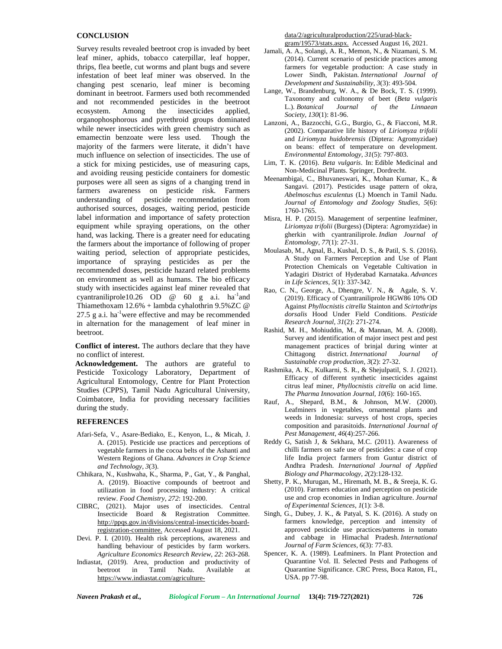## **CONCLUSION**

Survey results revealed beetroot crop is invaded by beet leaf miner, aphids, tobacco caterpillar, leaf hopper, thrips, flea beetle, cut worms and plant bugs and severe infestation of beet leaf miner was observed. In the changing pest scenario, leaf miner is becoming dominant in beetroot. Farmers used both recommended and not recommended pesticides in the beetroot ecosystem. Among the insecticides applied, Among the insecticides applied, organophosphorous and pyrethroid groups dominated while newer insecticides with green chemistry such as emamectin benzoate were less used. Though the majority of the farmers were literate, it didn't have much influence on selection of insecticides. The use of a stick for mixing pesticides, use of measuring caps, and avoiding reusing pesticide containers for domestic purposes were all seen as signs of a changing trend in farmers awareness on pesticide risk. Farmers understanding of pesticide recommendation from authorised sources, dosages, waiting period, pesticide label information and importance of safety protection equipment while spraying operations, on the other hand, was lacking. There is a greater need for educating the farmers about the importance of following of proper waiting period, selection of appropriate pesticides, importance of spraying pesticides as per the recommended doses, pesticide hazard related problems on environment as well as humans. The bio efficacy study with insecticides against leaf miner revealed that cyantraniliprole10.26 OD  $\omega$  60 g a.i. ha<sup>-1</sup>and Thiamethoxam 12.6% + lambda cyhalothrin 9.5%ZC @ 27.5 g a.i.  $ha^{-1}$ were effective and may be recommended in alternation for the management of leaf miner in beetroot.

**Conflict of interest.** The authors declare that they have no conflict of interest.

**Acknowledgement.** The authors are grateful to Pesticide Toxicology Laboratory, Department of Agricultural Entomology, Centre for Plant Protection Studies (CPPS), Tamil Nadu Agricultural University, Coimbatore, India for providing necessary facilities during the study.

### **REFERENCES**

- Afari-Sefa, V., Asare-Bediako, E., Kenyon, L., & Micah, J. A. (2015). Pesticide use practices and perceptions of vegetable farmers in the cocoa belts of the Ashanti and Western Regions of Ghana. *Advances in Crop Science and Technology, 3*(3).
- Chhikara, N., Kushwaha, K., Sharma, P., Gat, Y., & Panghal, A. (2019). Bioactive compounds of beetroot and utilization in food processing industry: A critical review. *Food Chemistry*, *272*: 192-200.
- CIBRC, (2021). Major uses of insecticides. Central Insecticide Board & Registration Committee. [http://ppqs.gov.in/divisions/central-insecticides-board](http://ppqs.gov.in/divisions/central-insecticides-board-)registration-committee. Accessed August 18, 2021.
- Devi. P. I. (2010). Health risk perceptions, awareness and handling behaviour of pesticides by farm workers. *Agriculture Economics Research Review*, *22*: 263-268.
- Indiastat, (2019). Area, production and productivity of beetroot in Tamil Nadu. Available at https://www.indiastat.com/agriculture-

[data/2/agricultura](www.indiastat.com/agriculture-data/2/agriculturalproduction/225/urad-black-)lproduction/225/urad-black gram/19573/stats.aspx. Accessed August 16, 2021.

- Jamali, A. A., Solangi, A. R., Memon, N., & Nizamani, S. M. (2014). Current scenario of pesticide practices among farmers for vegetable production: A case study in Lower Sindh, Pakistan. *International Journal of Development and Sustainability*, *3*(3): 493-504.
- Lange, W., Brandenburg, W. A., & De Bock, T. S. (1999). Taxonomy and cultonomy of beet (*Beta vulgaris* L.). *Botanical Journal of the Linnaean Society*, *130*(1): 81-96.
- Lanzoni, A., Bazzocchi, G.G., Burgio, G., & Fiacconi, M.R. (2002). Comparative life history of *Liriomyza trifolii* and *Liriomyza huidobrensis* (Diptera: Agromyzidae) on beans: effect of temperature on development. *Environmental Entomology*, *31*(5): 797-803.
- Lim, T. K. (2016). *Beta vulgaris*. In: Edible Medicinal and Non-Medicinal Plants. Springer, Dordrecht.
- Meenambigai, C., Bhuvaneswari, K., Mohan Kumar, K., & Sangavi. (2017). Pesticides usage pattern of okra, *Abelmoschus esculentus* (L) Moench in Tamil Nadu. *Journal of Entomology and Zoology Studies, 5*(6): 1760-1765.
- Misra, H. P. (2015). Management of serpentine leafminer, *Liriomyza trifolii* (Burgess) (Diptera: Agromyzidae) in gherkin with cyantraniliprole. *Indian Journal of Entomology, 77*(1): 27-31.
- Moulasab, M., Agnal, B., Kushal, D. S., & Patil, S. S. (2016). A Study on Farmers Perception and Use of Plant Protection Chemicals on Vegetable Cultivation in Yadagiri District of Hyderabad Karnataka. *Advances in Life Sciences*, *5*(1): 337-342.
- Rao, C. N., George, A., Dhengre, V. N., & Agale, S. V. (2019). Efficacy of Cyantraniliprole HGW86 10% OD Against *Phyllocnistis citrella* Stainton and *Scirtothrips dorsalis* Hood Under Field Conditions. *Pesticide Research Journal*, *31*(2): 271-274.
- Rashid, M. H., Mohiuddin, M., & Mannan, M. A. (2008). Survey and identification of major insect pest and pest management practices of brinjal during winter at Chittagong district. *International Journal of Sustainable crop production*, *3*(2): 27-32.
- Rashmika, A. K., Kulkarni, S. R., & Shejulpatil, S. J. (2021). Efficacy of different synthetic insecticides against citrus leaf miner, *Phyllocnistis citrella* on acid lime. *The Pharma Innovation Journal, 10*(6): 160-165.
- Rauf, A., Shepard, B.M., & Johnson, M.W. (2000). Leafminers in vegetables, ornamental plants and weeds in Indonesia: surveys of host crops, species composition and parasitoids. *International Journal of Pest Management*, *46*(4):257-266.
- Reddy G, Satish J, & Sekhara, M.C. (2011). Awareness of chilli farmers on safe use of pesticides: a case of crop life India project farmers from Guntur district of Andhra Pradesh. *International Journal of Applied Biology and Pharmacology, 2*(2):128-132.
- Shetty, P. K., Murugan, M., Hiremath, M. B., & Sreeja, K. G. (2010). Farmers education and perception on pesticide use and crop economies in Indian agriculture. *Journal of Experimental Sciences*, *1*(1): 3-8.
- Singh, G., Dubey, J. K., & Patyal, S. K. (2016). A study on farmers knowledge, perception and intensity of approved pesticide use practices/patterns in tomato and cabbage in Himachal Pradesh. *International Journal of Farm Sciences*, *6*(3): 77-83.
- Spencer, K. A. (1989). Leafminers. In Plant Protection and Quarantine Vol. II. Selected Pests and Pathogens of Quarantine Significance. CRC Press, Boca Raton, FL, USA. pp 77-98.

*Naveen Prakash et al., Biological Forum – An International Journal* **13(4): 719-727(2021) 726**